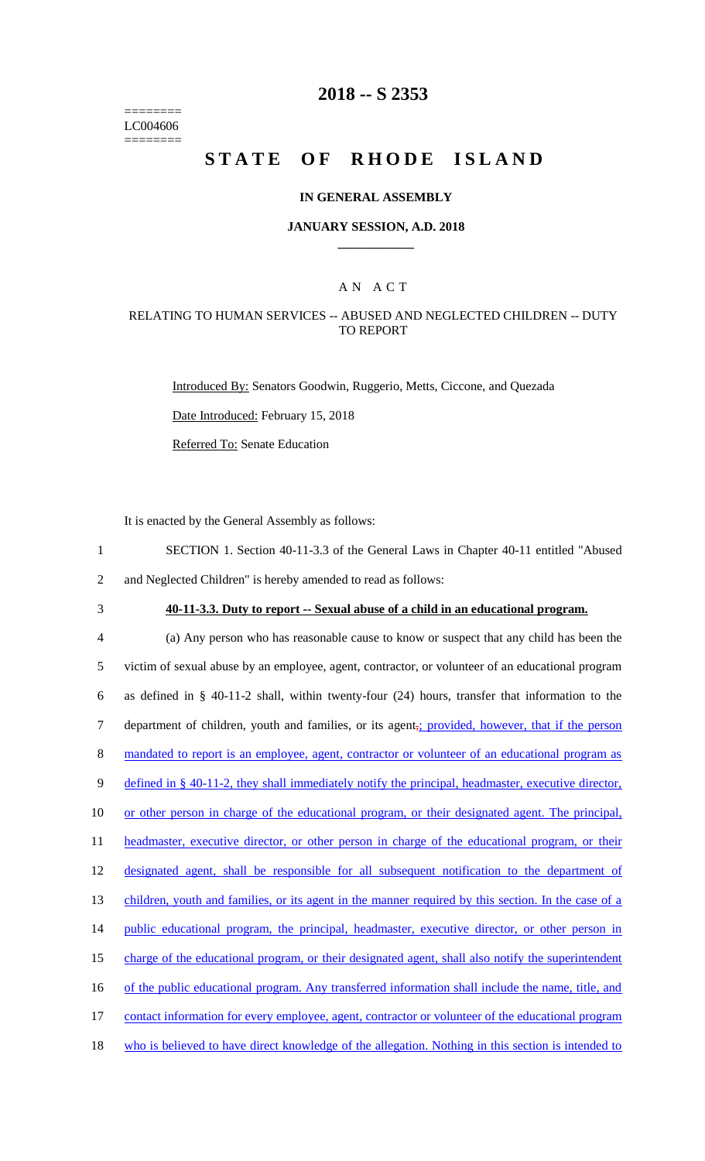======== LC004606 ========

## **2018 -- S 2353**

# **STATE OF RHODE ISLAND**

### **IN GENERAL ASSEMBLY**

#### **JANUARY SESSION, A.D. 2018 \_\_\_\_\_\_\_\_\_\_\_\_**

## A N A C T

### RELATING TO HUMAN SERVICES -- ABUSED AND NEGLECTED CHILDREN -- DUTY TO REPORT

Introduced By: Senators Goodwin, Ruggerio, Metts, Ciccone, and Quezada

Date Introduced: February 15, 2018

Referred To: Senate Education

It is enacted by the General Assembly as follows:

1 SECTION 1. Section 40-11-3.3 of the General Laws in Chapter 40-11 entitled "Abused 2 and Neglected Children" is hereby amended to read as follows:

# 3 **40-11-3.3. Duty to report -- Sexual abuse of a child in an educational program.**

4 (a) Any person who has reasonable cause to know or suspect that any child has been the 5 victim of sexual abuse by an employee, agent, contractor, or volunteer of an educational program 6 as defined in § 40-11-2 shall, within twenty-four (24) hours, transfer that information to the 7 department of children, youth and families, or its agent<sub>7</sub>; provided, however, that if the person 8 mandated to report is an employee, agent, contractor or volunteer of an educational program as 9 defined in § 40-11-2, they shall immediately notify the principal, headmaster, executive director, 10 or other person in charge of the educational program, or their designated agent. The principal, 11 headmaster, executive director, or other person in charge of the educational program, or their 12 designated agent, shall be responsible for all subsequent notification to the department of 13 children, youth and families, or its agent in the manner required by this section. In the case of a 14 public educational program, the principal, headmaster, executive director, or other person in 15 charge of the educational program, or their designated agent, shall also notify the superintendent 16 of the public educational program. Any transferred information shall include the name, title, and 17 contact information for every employee, agent, contractor or volunteer of the educational program 18 who is believed to have direct knowledge of the allegation. Nothing in this section is intended to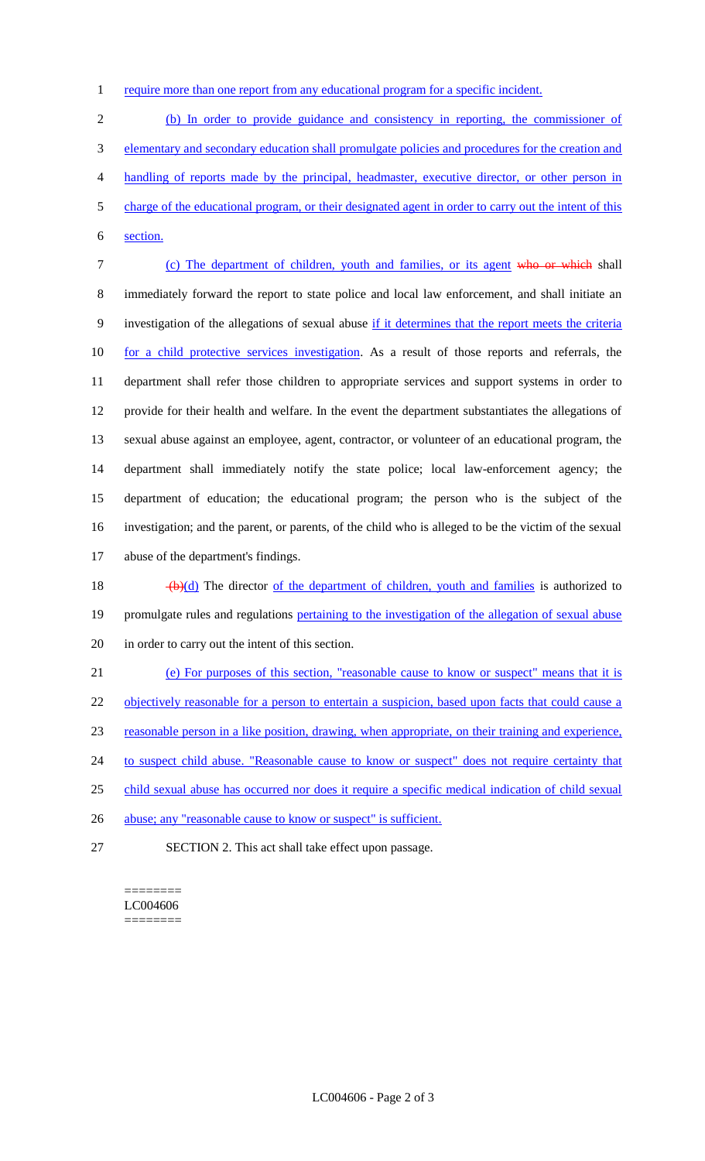1 require more than one report from any educational program for a specific incident.

 (b) In order to provide guidance and consistency in reporting, the commissioner of elementary and secondary education shall promulgate policies and procedures for the creation and handling of reports made by the principal, headmaster, executive director, or other person in charge of the educational program, or their designated agent in order to carry out the intent of this section.

 (c) The department of children, youth and families, or its agent who or which shall immediately forward the report to state police and local law enforcement, and shall initiate an 9 investigation of the allegations of sexual abuse if it determines that the report meets the criteria for a child protective services investigation. As a result of those reports and referrals, the department shall refer those children to appropriate services and support systems in order to provide for their health and welfare. In the event the department substantiates the allegations of sexual abuse against an employee, agent, contractor, or volunteer of an educational program, the department shall immediately notify the state police; local law-enforcement agency; the department of education; the educational program; the person who is the subject of the investigation; and the parent, or parents, of the child who is alleged to be the victim of the sexual abuse of the department's findings.

18  $\left(\frac{b}{d}\right)$  The director <u>of the department of children, youth and families</u> is authorized to 19 promulgate rules and regulations pertaining to the investigation of the allegation of sexual abuse in order to carry out the intent of this section.

 (e) For purposes of this section, "reasonable cause to know or suspect" means that it is 22 objectively reasonable for a person to entertain a suspicion, based upon facts that could cause a reasonable person in a like position, drawing, when appropriate, on their training and experience, 24 to suspect child abuse. "Reasonable cause to know or suspect" does not require certainty that child sexual abuse has occurred nor does it require a specific medical indication of child sexual 26 abuse; any "reasonable cause to know or suspect" is sufficient.

SECTION 2. This act shall take effect upon passage.

#### ======== LC004606 ========